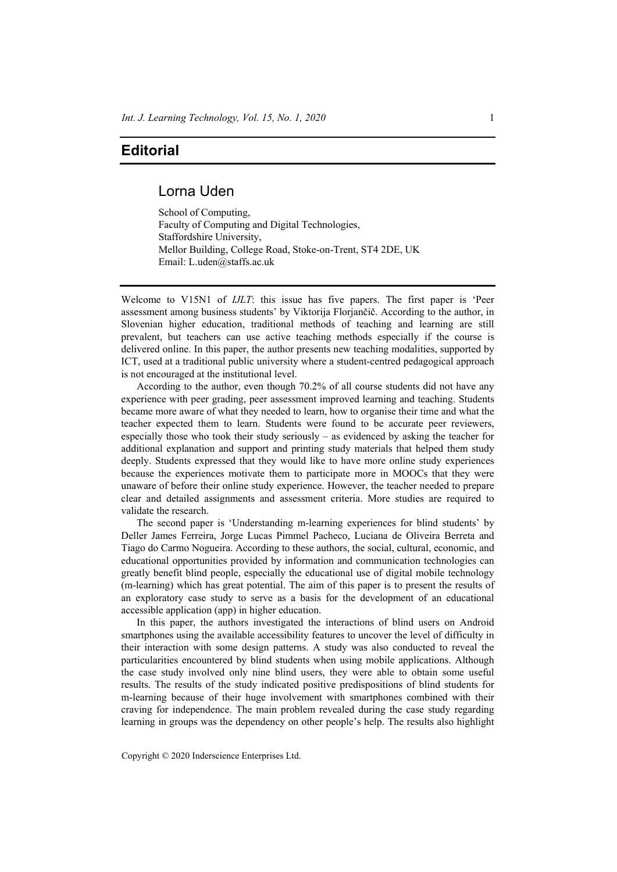## **Editorial**

## Lorna Uden

School of Computing, Faculty of Computing and Digital Technologies, Staffordshire University, Mellor Building, College Road, Stoke-on-Trent, ST4 2DE, UK Email: L.uden@staffs.ac.uk

Welcome to V15N1 of *IJLT*: this issue has five papers. The first paper is 'Peer assessment among business students' by Viktorija Florjančič. According to the author, in Slovenian higher education, traditional methods of teaching and learning are still prevalent, but teachers can use active teaching methods especially if the course is delivered online. In this paper, the author presents new teaching modalities, supported by ICT, used at a traditional public university where a student-centred pedagogical approach is not encouraged at the institutional level.

According to the author, even though 70.2% of all course students did not have any experience with peer grading, peer assessment improved learning and teaching. Students became more aware of what they needed to learn, how to organise their time and what the teacher expected them to learn. Students were found to be accurate peer reviewers, especially those who took their study seriously – as evidenced by asking the teacher for additional explanation and support and printing study materials that helped them study deeply. Students expressed that they would like to have more online study experiences because the experiences motivate them to participate more in MOOCs that they were unaware of before their online study experience. However, the teacher needed to prepare clear and detailed assignments and assessment criteria. More studies are required to validate the research.

The second paper is 'Understanding m-learning experiences for blind students' by Deller James Ferreira, Jorge Lucas Pimmel Pacheco, Luciana de Oliveira Berreta and Tiago do Carmo Nogueira. According to these authors, the social, cultural, economic, and educational opportunities provided by information and communication technologies can greatly benefit blind people, especially the educational use of digital mobile technology (m-learning) which has great potential. The aim of this paper is to present the results of an exploratory case study to serve as a basis for the development of an educational accessible application (app) in higher education.

In this paper, the authors investigated the interactions of blind users on Android smartphones using the available accessibility features to uncover the level of difficulty in their interaction with some design patterns. A study was also conducted to reveal the particularities encountered by blind students when using mobile applications. Although the case study involved only nine blind users, they were able to obtain some useful results. The results of the study indicated positive predispositions of blind students for m-learning because of their huge involvement with smartphones combined with their craving for independence. The main problem revealed during the case study regarding learning in groups was the dependency on other people's help. The results also highlight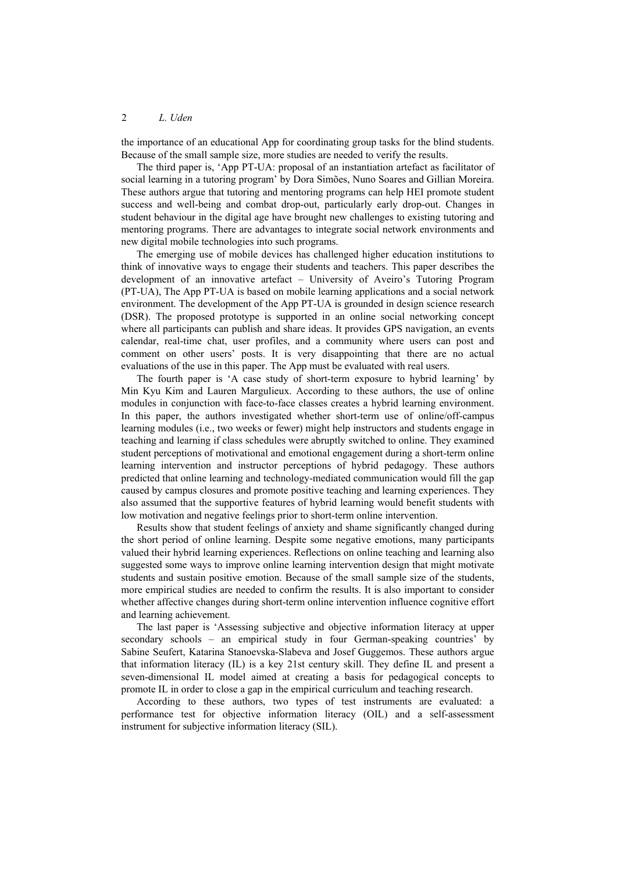the importance of an educational App for coordinating group tasks for the blind students. Because of the small sample size, more studies are needed to verify the results.

The third paper is, 'App PT-UA: proposal of an instantiation artefact as facilitator of social learning in a tutoring program' by Dora Simões, Nuno Soares and Gillian Moreira. These authors argue that tutoring and mentoring programs can help HEI promote student success and well-being and combat drop-out, particularly early drop-out. Changes in student behaviour in the digital age have brought new challenges to existing tutoring and mentoring programs. There are advantages to integrate social network environments and new digital mobile technologies into such programs.

The emerging use of mobile devices has challenged higher education institutions to think of innovative ways to engage their students and teachers. This paper describes the development of an innovative artefact – University of Aveiro's Tutoring Program (PT-UA), The App PT-UA is based on mobile learning applications and a social network environment. The development of the App PT-UA is grounded in design science research (DSR). The proposed prototype is supported in an online social networking concept where all participants can publish and share ideas. It provides GPS navigation, an events calendar, real-time chat, user profiles, and a community where users can post and comment on other users' posts. It is very disappointing that there are no actual evaluations of the use in this paper. The App must be evaluated with real users.

The fourth paper is 'A case study of short-term exposure to hybrid learning' by Min Kyu Kim and Lauren Margulieux. According to these authors, the use of online modules in conjunction with face-to-face classes creates a hybrid learning environment. In this paper, the authors investigated whether short-term use of online/off-campus learning modules (i.e., two weeks or fewer) might help instructors and students engage in teaching and learning if class schedules were abruptly switched to online. They examined student perceptions of motivational and emotional engagement during a short-term online learning intervention and instructor perceptions of hybrid pedagogy. These authors predicted that online learning and technology-mediated communication would fill the gap caused by campus closures and promote positive teaching and learning experiences. They also assumed that the supportive features of hybrid learning would benefit students with low motivation and negative feelings prior to short-term online intervention.

Results show that student feelings of anxiety and shame significantly changed during the short period of online learning. Despite some negative emotions, many participants valued their hybrid learning experiences. Reflections on online teaching and learning also suggested some ways to improve online learning intervention design that might motivate students and sustain positive emotion. Because of the small sample size of the students, more empirical studies are needed to confirm the results. It is also important to consider whether affective changes during short-term online intervention influence cognitive effort and learning achievement.

The last paper is 'Assessing subjective and objective information literacy at upper secondary schools – an empirical study in four German-speaking countries' by Sabine Seufert, Katarina Stanoevska-Slabeva and Josef Guggemos. These authors argue that information literacy (IL) is a key 21st century skill. They define IL and present a seven-dimensional IL model aimed at creating a basis for pedagogical concepts to promote IL in order to close a gap in the empirical curriculum and teaching research.

According to these authors, two types of test instruments are evaluated: a performance test for objective information literacy (OIL) and a self-assessment instrument for subjective information literacy (SIL).